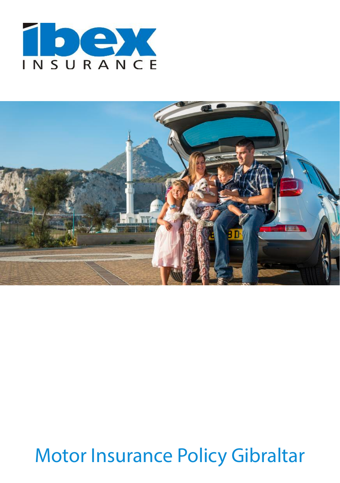



# Motor Insurance Policy Gibraltar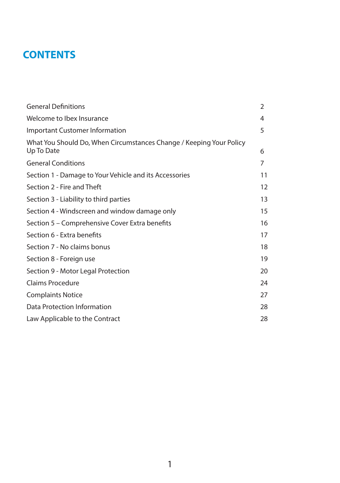# **CONTENTS**

| <b>General Definitions</b>                                                        | 2  |
|-----------------------------------------------------------------------------------|----|
| Welcome to Ibex Insurance                                                         | 4  |
| Important Customer Information                                                    | 5  |
| What You Should Do, When Circumstances Change / Keeping Your Policy<br>Up To Date | 6  |
| <b>General Conditions</b>                                                         | 7  |
| Section 1 - Damage to Your Vehicle and its Accessories                            | 11 |
| Section 2 - Fire and Theft                                                        | 12 |
| Section 3 - Liability to third parties                                            | 13 |
| Section 4 - Windscreen and window damage only                                     | 15 |
| Section 5 – Comprehensive Cover Extra benefits                                    | 16 |
| Section 6 - Extra benefits                                                        | 17 |
| Section 7 - No claims bonus                                                       | 18 |
| Section 8 - Foreign use                                                           | 19 |
| Section 9 - Motor Legal Protection                                                | 20 |
| Claims Procedure                                                                  | 24 |
| <b>Complaints Notice</b>                                                          | 27 |
| Data Protection Information                                                       | 28 |
| Law Applicable to the Contract                                                    | 28 |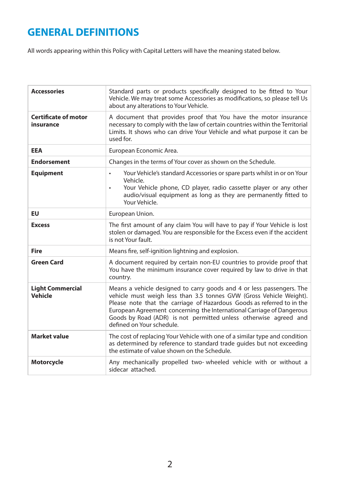# **GENERAL DEFINITIONS**

All words appearing within this Policy with Capital Letters will have the meaning stated below.

| <b>Accessories</b>                       | Standard parts or products specifically designed to be fitted to Your<br>Vehicle. We may treat some Accessories as modifications, so please tell Us<br>about any alterations to Your Vehicle.                                                                                                                                                                                                    |
|------------------------------------------|--------------------------------------------------------------------------------------------------------------------------------------------------------------------------------------------------------------------------------------------------------------------------------------------------------------------------------------------------------------------------------------------------|
| <b>Certificate of motor</b><br>insurance | A document that provides proof that You have the motor insurance<br>necessary to comply with the law of certain countries within the Territorial<br>Limits. It shows who can drive Your Vehicle and what purpose it can be<br>used for.                                                                                                                                                          |
| <b>EEA</b>                               | European Economic Area.                                                                                                                                                                                                                                                                                                                                                                          |
| <b>Endorsement</b>                       | Changes in the terms of Your cover as shown on the Schedule.                                                                                                                                                                                                                                                                                                                                     |
| <b>Equipment</b>                         | Your Vehicle's standard Accessories or spare parts whilst in or on Your<br>$\bullet$<br>Vehicle.<br>Your Vehicle phone, CD player, radio cassette player or any other<br>$\bullet$<br>audio/visual equipment as long as they are permanently fitted to<br>Your Vehicle.                                                                                                                          |
| EU                                       | European Union.                                                                                                                                                                                                                                                                                                                                                                                  |
| <b>Excess</b>                            | The first amount of any claim You will have to pay if Your Vehicle is lost<br>stolen or damaged. You are responsible for the Excess even if the accident<br>is not Your fault.                                                                                                                                                                                                                   |
| <b>Fire</b>                              | Means fire, self-ignition lightning and explosion.                                                                                                                                                                                                                                                                                                                                               |
| <b>Green Card</b>                        | A document required by certain non-EU countries to provide proof that<br>You have the minimum insurance cover required by law to drive in that<br>country.                                                                                                                                                                                                                                       |
| <b>Light Commercial</b><br>Vehicle       | Means a vehicle designed to carry goods and 4 or less passengers. The<br>vehicle must weigh less than 3.5 tonnes GVW (Gross Vehicle Weight).<br>Please note that the carriage of Hazardous Goods as referred to in the<br>European Agreement concerning the International Carriage of Dangerous<br>Goods by Road (ADR) is not permitted unless otherwise agreed and<br>defined on Your schedule. |
| <b>Market value</b>                      | The cost of replacing Your Vehicle with one of a similar type and condition<br>as determined by reference to standard trade quides but not exceeding<br>the estimate of value shown on the Schedule.                                                                                                                                                                                             |
| <b>Motorcycle</b>                        | Any mechanically propelled two- wheeled vehicle with or without a<br>sidecar attached.                                                                                                                                                                                                                                                                                                           |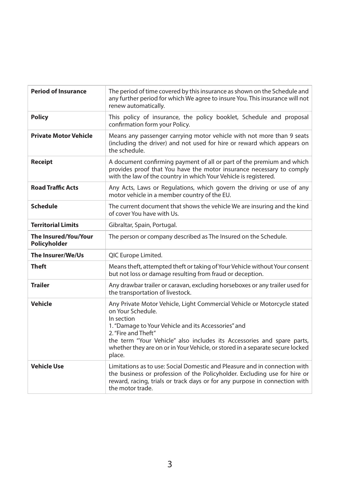| <b>Period of Insurance</b>           | The period of time covered by this insurance as shown on the Schedule and<br>any further period for which We agree to insure You. This insurance will not<br>renew automatically.                                                                                                                                                                              |
|--------------------------------------|----------------------------------------------------------------------------------------------------------------------------------------------------------------------------------------------------------------------------------------------------------------------------------------------------------------------------------------------------------------|
| <b>Policy</b>                        | This policy of insurance, the policy booklet, Schedule and proposal<br>confirmation form your Policy.                                                                                                                                                                                                                                                          |
| <b>Private Motor Vehicle</b>         | Means any passenger carrying motor vehicle with not more than 9 seats<br>(including the driver) and not used for hire or reward which appears on<br>the schedule.                                                                                                                                                                                              |
| Receipt                              | A document confirming payment of all or part of the premium and which<br>provides proof that You have the motor insurance necessary to comply<br>with the law of the country in which Your Vehicle is registered.                                                                                                                                              |
| <b>Road Traffic Acts</b>             | Any Acts, Laws or Regulations, which govern the driving or use of any<br>motor vehicle in a member country of the EU.                                                                                                                                                                                                                                          |
| <b>Schedule</b>                      | The current document that shows the vehicle We are insuring and the kind<br>of cover You have with Us.                                                                                                                                                                                                                                                         |
| <b>Territorial Limits</b>            | Gibraltar, Spain, Portugal.                                                                                                                                                                                                                                                                                                                                    |
| The Insured/You/Your<br>Policyholder | The person or company described as The Insured on the Schedule.                                                                                                                                                                                                                                                                                                |
| The Insurer/We/Us                    | QIC Europe Limited.                                                                                                                                                                                                                                                                                                                                            |
| Theft                                | Means theft, attempted theft or taking of Your Vehicle without Your consent<br>but not loss or damage resulting from fraud or deception.                                                                                                                                                                                                                       |
| <b>Trailer</b>                       | Any drawbar trailer or caravan, excluding horseboxes or any trailer used for<br>the transportation of livestock.                                                                                                                                                                                                                                               |
| Vehicle                              | Any Private Motor Vehicle, Light Commercial Vehicle or Motorcycle stated<br>on Your Schedule.<br>In section<br>1. "Damage to Your Vehicle and its Accessories" and<br>2. "Fire and Theft"<br>the term "Your Vehicle" also includes its Accessories and spare parts,<br>whether they are on or in Your Vehicle, or stored in a separate secure locked<br>place. |
| <b>Vehicle Use</b>                   | Limitations as to use: Social Domestic and Pleasure and in connection with<br>the business or profession of the Policyholder. Excluding use for hire or<br>reward, racing, trials or track days or for any purpose in connection with<br>the motor trade.                                                                                                      |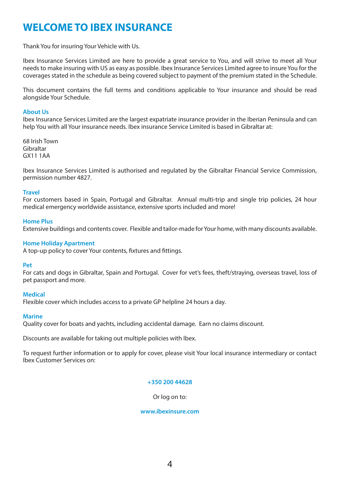# **WELCOME TO IBEX INSURANCE**

Thank You for insuring Your Vehicle with Us.

Ibex Insurance Services Limited are here to provide a great service to You, and will strive to meet all Your needs to make insuring with US as easy as possible. Ibex Insurance Services Limited agree to insure You for the coverages stated in the schedule as being covered subject to payment of the premium stated in the Schedule.

This document contains the full terms and conditions applicable to Your insurance and should be read alongside Your Schedule.

#### **About Us**

Ibex Insurance Services Limited are the largest expatriate insurance provider in the Iberian Peninsula and can help You with all Your insurance needs. Ibex insurance Service Limited is based in Gibraltar at:

68 Irish Town Gibraltar GX11 1AA

Ibex Insurance Services Limited is authorised and regulated by the Gibraltar Financial Service Commission, permission number 4827.

#### **Travel**

For customers based in Spain, Portugal and Gibraltar. Annual multi-trip and single trip policies, 24 hour medical emergency worldwide assistance, extensive sports included and more!

#### **Home Plus**

Extensive buildings and contents cover. Flexible and tailor-made for Your home, with many discounts available.

#### **Home Holiday Apartment**

A top-up policy to cover Your contents, fixtures and fittings.

#### **Pet**

For cats and dogs in Gibraltar, Spain and Portugal. Cover for vet's fees, theft/straying, overseas travel, loss of pet passport and more.

#### **Medical**

Flexible cover which includes access to a private GP helpline 24 hours a day.

#### **Marine**

Quality cover for boats and yachts, including accidental damage. Earn no claims discount.

Discounts are available for taking out multiple policies with Ibex.

To request further information or to apply for cover, please visit Your local insurance intermediary or contact Ibex Customer Services on:

### **+350 200 44628**

Or log on to:

#### **www.ibexinsure.com**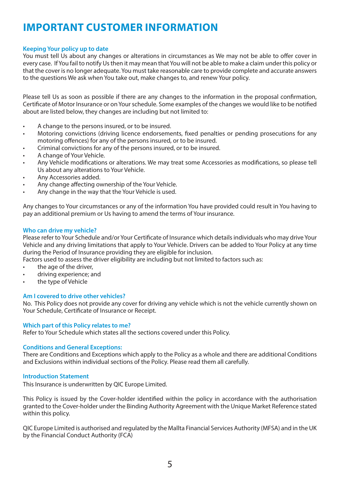# **IMPORTANT CUSTOMER INFORMATION**

### **Keeping Your policy up to date**

You must tell Us about any changes or alterations in circumstances as We may not be able to offer cover in every case. If You fail to notify Us then it may mean that You will not be able to make a claim under this policy or that the cover is no longer adequate. You must take reasonable care to provide complete and accurate answers to the questions We ask when You take out, make changes to, and renew Your policy.

Please tell Us as soon as possible if there are any changes to the information in the proposal confirmation, Certificate of Motor Insurance or on Your schedule. Some examples of the changes we would like to be notified about are listed below, they changes are including but not limited to:

- A change to the persons insured, or to be insured.
- Motoring convictions (driving licence endorsements, fixed penalties or pending prosecutions for any motoring offences) for any of the persons insured, or to be insured.
- Criminal convictions for any of the persons insured, or to be insured.
- A change of Your Vehicle.
- Any Vehicle modifications or alterations. We may treat some Accessories as modifications, so please tell Us about any alterations to Your Vehicle.
- Any Accessories added.
- Any change affecting ownership of the Your Vehicle.
- Any change in the way that the Your Vehicle is used.

Any changes to Your circumstances or any of the information You have provided could result in You having to pay an additional premium or Us having to amend the terms of Your insurance.

#### **Who can drive my vehicle?**

Please refer to Your Schedule and/or Your Certificate of Insurance which details individuals who may drive Your Vehicle and any driving limitations that apply to Your Vehicle. Drivers can be added to Your Policy at any time during the Period of Insurance providing they are eligible for inclusion.

Factors used to assess the driver eligibility are including but not limited to factors such as:

- the age of the driver.
- driving experience; and
- the type of Vehicle

#### **Am I covered to drive other vehicles?**

No. This Policy does not provide any cover for driving any vehicle which is not the vehicle currently shown on Your Schedule, Certificate of Insurance or Receipt.

#### **Which part of this Policy relates to me?**

Refer to Your Schedule which states all the sections covered under this Policy.

#### **Conditions and General Exceptions:**

There are Conditions and Exceptions which apply to the Policy as a whole and there are additional Conditions and Exclusions within individual sections of the Policy. Please read them all carefully.

#### **Introduction Statement**

This Insurance is underwritten by QIC Europe Limited.

This Policy is issued by the Cover-holder identified within the policy in accordance with the authorisation granted to the Cover-holder under the Binding Authority Agreement with the Unique Market Reference stated within this policy.

QIC Europe Limited is authorised and regulated by the Mallta Financial Services Authority (MFSA) and in the UK by the Financial Conduct Authority (FCA)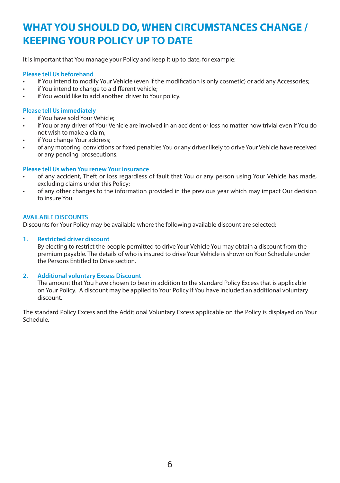# **WHAT YOU SHOULD DO, WHEN CIRCUMSTANCES CHANGE / KEEPING YOUR POLICY UP TO DATE**

It is important that You manage your Policy and keep it up to date, for example:

# **Please tell Us beforehand**

- if You intend to modify Your Vehicle (even if the modification is only cosmetic) or add any Accessories;
- if You intend to change to a different vehicle:
- if You would like to add another driver to Your policy.

### **Please tell Us immediately**

- if You have sold Your Vehicle:
- if You or any driver of Your Vehicle are involved in an accident or loss no matter how trivial even if You do not wish to make a claim;
- if You change Your address:
- of any motoring convictions or fixed penalties You or any driver likely to drive Your Vehicle have received or any pending prosecutions.

# **Please tell Us when You renew Your insurance**

- of any accident, Theft or loss regardless of fault that You or any person using Your Vehicle has made, excluding claims under this Policy;
- of any other changes to the information provided in the previous year which may impact Our decision to insure You.

# **AVAILABLE DISCOUNTS**

Discounts for Your Policy may be available where the following available discount are selected:

# **1. Restricted driver discount**

By electing to restrict the people permitted to drive Your Vehicle You may obtain a discount from the premium payable. The details of who is insured to drive Your Vehicle is shown on Your Schedule under the Persons Entitled to Drive section.

#### **2. Additional voluntary Excess Discount**

The amount that You have chosen to bear in addition to the standard Policy Excess that is applicable on Your Policy. A discount may be applied to Your Policy if You have included an additional voluntary discount.

The standard Policy Excess and the Additional Voluntary Excess applicable on the Policy is displayed on Your Schedule.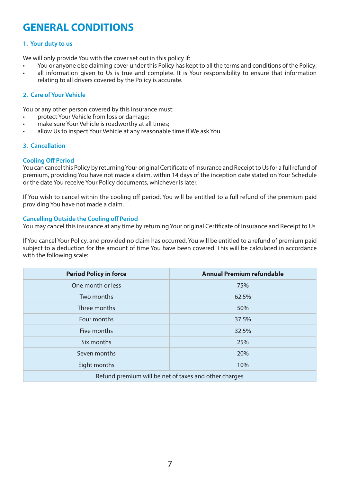# **GENERAL CONDITIONS**

### **1. Your duty to us**

We will only provide You with the cover set out in this policy if:

- You or anyone else claiming cover under this Policy has kept to all the terms and conditions of the Policy;
- all information given to Us is true and complete. It is Your responsibility to ensure that information relating to all drivers covered by the Policy is accurate.

# **2. Care of Your Vehicle**

You or any other person covered by this insurance must:

- protect Your Vehicle from loss or damage:
- make sure Your Vehicle is roadworthy at all times:
- allow Us to inspect Your Vehicle at any reasonable time if We ask You.

#### **3. Cancellation**

#### **Cooling Off Period**

You can cancel this Policy by returning Your original Certificate of Insurance and Receipt to Us for a full refund of premium, providing You have not made a claim, within 14 days of the inception date stated on Your Schedule or the date You receive Your Policy documents, whichever is later.

If You wish to cancel within the cooling off period, You will be entitled to a full refund of the premium paid providing You have not made a claim.

#### **Cancelling Outside the Cooling off Period**

You may cancel this insurance at any time by returning Your original Certificate of Insurance and Receipt to Us.

If You cancel Your Policy, and provided no claim has occurred, You will be entitled to a refund of premium paid subject to a deduction for the amount of time You have been covered. This will be calculated in accordance with the following scale:

| <b>Period Policy in force</b>                         | <b>Annual Premium refundable</b> |  |
|-------------------------------------------------------|----------------------------------|--|
| One month or less                                     | 75%                              |  |
| Two months                                            | 62.5%                            |  |
| Three months                                          | 50%                              |  |
| Four months                                           | 37.5%                            |  |
| Five months                                           | 32.5%                            |  |
| Six months                                            | 25%                              |  |
| Seven months                                          | 20%                              |  |
| Eight months                                          | 10%                              |  |
| Refund premium will be net of taxes and other charges |                                  |  |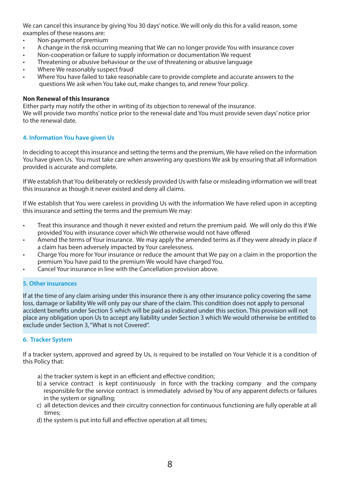We can cancel this insurance by giving You 30 days' notice. We will only do this for a valid reason, some examples of these reasons are:

- Non-payment of premium
- A change in the risk occurring meaning that We can no longer provide You with insurance cover
- Non-cooperation or failure to supply information or documentation We request
- Threatening or abusive behaviour or the use of threatening or abusive language
- Where We reasonably suspect fraud
- Where You have failed to take reasonable care to provide complete and accurate answers to the questions We ask when You take out, make changes to, and renew Your policy.

#### **Non Renewal of this Insurance**

Either party may notify the other in writing of its objection to renewal of the insurance. We will provide two months' notice prior to the renewal date and You must provide seven days' notice prior to the renewal date.

# **4. Information You have given Us**

In deciding to accept this insurance and setting the terms and the premium, We have relied on the information You have given Us. You must take care when answering any questions We ask by ensuring that all information provided is accurate and complete.

If We establish that You deliberately or recklessly provided Us with false or misleading information we will treat this insurance as though it never existed and deny all claims.

If We establish that You were careless in providing Us with the information We have relied upon in accepting this insurance and setting the terms and the premium We may:

- Treat this insurance and though it never existed and return the premium paid. We will only do this if We provided You with insurance cover which We otherwise would not have offered
- Amend the terms of Your insurance. We may apply the amended terms as if they were already in place if a claim has been adversely impacted by Your carelessness.
- Charge You more for Your insurance or reduce the amount that We pay on a claim in the proportion the premium You have paid to the premium We would have charged You.
- Cancel Your insurance in line with the Cancellation provision above.

# **5. Other insurances**

If at the time of any claim arising under this insurance there is any other insurance policy covering the same loss, damage or liability We will only pay our share of the claim. This condition does not apply to personal accident benefits under Section 5 which will be paid as indicated under this section. This provision will not place any obligation upon Us to accept any liability under Section 3 which We would otherwise be entitled to exclude under Section 3, "What is not Covered".

#### **6. Tracker System**

If a tracker system, approved and agreed by Us, is required to be installed on Your Vehicle it is a condition of this Policy that:

- a) the tracker system is kept in an efficient and effective condition;
- b) a service contract is kept continuously in force with the tracking company and the company responsible for the service contract is immediately advised by You of any apparent defects or failures in the system or signalling;
- c) all detection devices and their circuitry connection for continuous functioning are fully operable at all times;
- d) the system is put into full and effective operation at all times;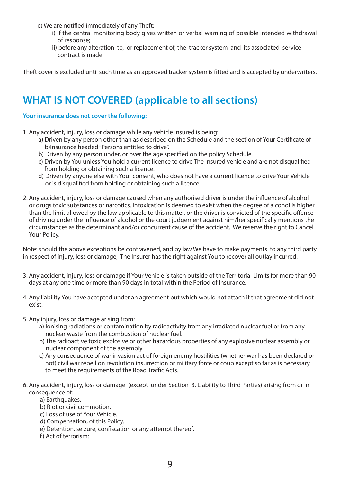e) We are notified immediately of any Theft:

- i) if the central monitoring body gives written or verbal warning of possible intended withdrawal of response;
- ii) before any alteration to, or replacement of, the tracker system and its associated service contract is made.

Theft cover is excluded until such time as an approved tracker system is fitted and is accepted by underwriters.

# **WHAT IS NOT COVERED (applicable to all sections)**

#### **Your insurance does not cover the following:**

- 1. Any accident, injury, loss or damage while any vehicle insured is being:
	- a) Driven by any person other than as described on the Schedule and the section of Your Certificate of b)Insurance headed "Persons entitled to drive".
	- b) Driven by any person under, or over the age specified on the policy Schedule.
	- c) Driven by You unless You hold a current licence to drive The Insured vehicle and are not disqualified from holding or obtaining such a licence.
	- d) Driven by anyone else with Your consent, who does not have a current licence to drive Your Vehicle or is disqualified from holding or obtaining such a licence.
- 2. Any accident, injury, loss or damage caused when any authorised driver is under the influence of alcohol or drugs toxic substances or narcotics. Intoxication is deemed to exist when the degree of alcohol is higher than the limit allowed by the law applicable to this matter, or the driver is convicted of the specific offence of driving under the influence of alcohol or the court judgement against him/her specifically mentions the circumstances as the determinant and/or concurrent cause of the accident. We reserve the right to Cancel Your Policy.

Note: should the above exceptions be contravened, and by law We have to make payments to any third party in respect of injury, loss or damage, The Insurer has the right against You to recover all outlay incurred.

- 3. Any accident, injury, loss or damage if Your Vehicle is taken outside of the Territorial Limits for more than 90 days at any one time or more than 90 days in total within the Period of Insurance.
- 4. Any liability You have accepted under an agreement but which would not attach if that agreement did not exist.
- 5. Any injury, loss or damage arising from:
	- a) Ionising radiations or contamination by radioactivity from any irradiated nuclear fuel or from any nuclear waste from the combustion of nuclear fuel.
	- b) The radioactive toxic explosive or other hazardous properties of any explosive nuclear assembly or nuclear component of the assembly.
	- c) Any consequence of war invasion act of foreign enemy hostilities (whether war has been declared or not) civil war rebellion revolution insurrection or military force or coup except so far as is necessary to meet the requirements of the Road Traffic Acts.
- 6. Any accident, injury, loss or damage (except under Section 3, Liability to Third Parties) arising from or in consequence of:
	- a) Farthquakes.
	- b) Riot or civil commotion.
	- c) Loss of use of Your Vehicle.
	- d) Compensation, of this Policy.
	- e) Detention, seizure, confiscation or any attempt thereof.
	- f) Act of terrorism: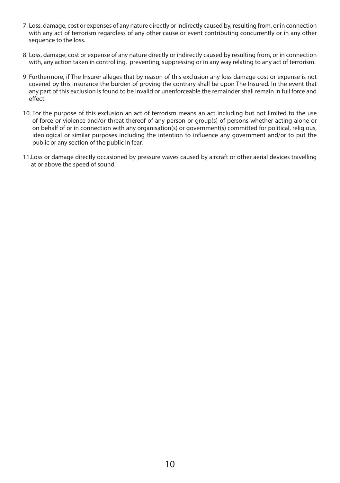- 7. Loss, damage, cost or expenses of any nature directly or indirectly caused by, resulting from, or in connection with any act of terrorism regardless of any other cause or event contributing concurrently or in any other sequence to the loss.
- 8. Loss, damage, cost or expense of any nature directly or indirectly caused by resulting from, or in connection with, any action taken in controlling, preventing, suppressing or in any way relating to any act of terrorism.
- 9. Furthermore, if The Insurer alleges that by reason of this exclusion any loss damage cost or expense is not covered by this insurance the burden of proving the contrary shall be upon The Insured. In the event that any part of this exclusion is found to be invalid or unenforceable the remainder shall remain in full force and effect.
- 10. For the purpose of this exclusion an act of terrorism means an act including but not limited to the use of force or violence and/or threat thereof of any person or group(s) of persons whether acting alone or on behalf of or in connection with any organisation(s) or government(s) committed for political, religious, ideological or similar purposes including the intention to influence any government and/or to put the public or any section of the public in fear.
- 11.Loss or damage directly occasioned by pressure waves caused by aircraft or other aerial devices travelling at or above the speed of sound.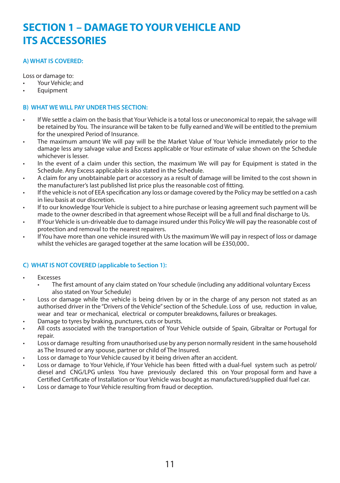# **SECTION 1 – DAMAGE TO YOUR VEHICLE AND ITS ACCESSORIES**

# **A) WHAT IS COVERED:**

Loss or damage to:

- Your Vehicle; and
- **Equipment**

#### **B) WHAT WE WILL PAY UNDER THIS SECTION:**

- If We settle a claim on the basis that Your Vehicle is a total loss or uneconomical to repair, the salvage will be retained by You. The insurance will be taken to be fully earned and We will be entitled to the premium for the unexpired Period of Insurance.
- The maximum amount We will pay will be the Market Value of Your Vehicle immediately prior to the damage less any salvage value and Excess applicable or Your estimate of value shown on the Schedule whichever is lesser.
- In the event of a claim under this section, the maximum We will pay for Equipment is stated in the Schedule. Any Excess applicable is also stated in the Schedule.
- A claim for any unobtainable part or accessory as a result of damage will be limited to the cost shown in the manufacturer's last published list price plus the reasonable cost of fitting.
- If the vehicle is not of EEA specification any loss or damage covered by the Policy may be settled on a cash in lieu basis at our discretion.
- If to our knowledge Your Vehicle is subject to a hire purchase or leasing agreement such payment will be made to the owner described in that agreement whose Receipt will be a full and final discharge to Us.
- If Your Vehicle is un-driveable due to damage insured under this Policy We will pay the reasonable cost of protection and removal to the nearest repairers.
- If You have more than one vehicle insured with Us the maximum We will pay in respect of loss or damage whilst the vehicles are garaged together at the same location will be £350,000..

# **C) WHAT IS NOT COVERED (applicable to Section 1):**

- **Excesses** 
	- The first amount of any claim stated on Your schedule (including any additional voluntary Excess also stated on Your Schedule)
- Loss or damage while the vehicle is being driven by or in the charge of any person not stated as an authorised driver in the "Drivers of the Vehicle" section of the Schedule. Loss of use, reduction in value, wear and tear or mechanical, electrical or computer breakdowns, failures or breakages.
- Damage to tyres by braking, punctures, cuts or bursts.
- All costs associated with the transportation of Your Vehicle outside of Spain, Gibraltar or Portugal for repair.
- Loss or damage resulting from unauthorised use by any person normally resident in the same household as The Insured or any spouse, partner or child of The Insured.
- Loss or damage to Your Vehicle caused by it being driven after an accident.
- Loss or damage to Your Vehicle, if Your Vehicle has been fitted with a dual-fuel system such as petrol/ diesel and CNG/LPG unless You have previously declared this on Your proposal form and have a Certified Certificate of Installation or Your Vehicle was bought as manufactured/supplied dual fuel car.
- Loss or damage to Your Vehicle resulting from fraud or deception.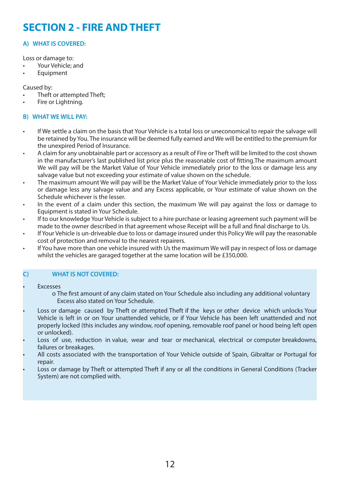# **SECTION 2 - FIRE AND THEFT**

# **A) WHAT IS COVERED:**

Loss or damage to:

- Your Vehicle; and
- Equipment

Caused by:

- Theft or attempted Theft:
- Fire or Lightning.

# **B) WHAT WE WILL PAY:**

- If We settle a claim on the basis that Your Vehicle is a total loss or uneconomical to repair the salvage will be retained by You. The insurance will be deemed fully earned and We will be entitled to the premium for the unexpired Period of Insurance.
- A claim for any unobtainable part or accessory as a result of Fire or Theft will be limited to the cost shown in the manufacturer's last published list price plus the reasonable cost of fitting.The maximum amount We will pay will be the Market Value of Your Vehicle immediately prior to the loss or damage less any salvage value but not exceeding your estimate of value shown on the schedule.
- The maximum amount We will pay will be the Market Value of Your Vehicle immediately prior to the loss or damage less any salvage value and any Excess applicable, or Your estimate of value shown on the Schedule whichever is the lesser.
- In the event of a claim under this section, the maximum We will pay against the loss or damage to Equipment is stated in Your Schedule.
- If to our knowledge Your Vehicle is subject to a hire purchase or leasing agreement such payment will be made to the owner described in that agreement whose Receipt will be a full and final discharge to Us.
- If Your Vehicle is un-driveable due to loss or damage insured under this Policy We will pay the reasonable cost of protection and removal to the nearest repairers.
- If You have more than one vehicle insured with Us the maximum We will pay in respect of loss or damage whilst the vehicles are garaged together at the same location will be £350,000.

### **C) WHAT IS NOT COVERED:**

**Fyresses** 

 o The first amount of any claim stated on Your Schedule also including any additional voluntary Excess also stated on Your Schedule.

- Loss or damage caused by Theft or attempted Theft if the keys or other device which unlocks Your Vehicle is left in or on Your unattended vehicle, or if Your Vehicle has been left unattended and not properly locked (this includes any window, roof opening, removable roof panel or hood being left open or unlocked).
- Loss of use, reduction in value, wear and tear or mechanical, electrical or computer breakdowns, failures or breakages.
- All costs associated with the transportation of Your Vehicle outside of Spain, Gibraltar or Portugal for repair.
- Loss or damage by Theft or attempted Theft if any or all the conditions in General Conditions (Tracker System) are not complied with.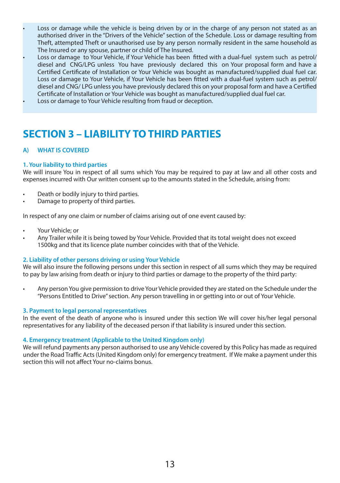- Loss or damage while the vehicle is being driven by or in the charge of any person not stated as an authorised driver in the "Drivers of the Vehicle" section of the Schedule. Loss or damage resulting from Theft, attempted Theft or unauthorised use by any person normally resident in the same household as The Insured or any spouse, partner or child of The Insured.
- Loss or damage to Your Vehicle, if Your Vehicle has been fitted with a dual-fuel system such as petrol/ diesel and CNG/LPG unless You have previously declared this on Your proposal form and have a Certified Certificate of Installation or Your Vehicle was bought as manufactured/supplied dual fuel car. Loss or damage to Your Vehicle, if Your Vehicle has been fitted with a dual-fuel system such as petrol/ diesel and CNG/ LPG unless you have previously declared this on your proposal form and have a Certified Certificate of Installation or Your Vehicle was bought as manufactured/supplied dual fuel car.
- Loss or damage to Your Vehicle resulting from fraud or deception.

# **SECTION 3 – LIABILITY TO THIRD PARTIES**

# **A) WHAT IS COVERED**

#### **1. Your liability to third parties**

We will insure You in respect of all sums which You may be required to pay at law and all other costs and expenses incurred with Our written consent up to the amounts stated in the Schedule, arising from:

- Death or bodily injury to third parties.
- Damage to property of third parties.

In respect of any one claim or number of claims arising out of one event caused by:

- Your Vehicle; or
- Any Trailer while it is being towed by Your Vehicle. Provided that its total weight does not exceed 1500kg and that its licence plate number coincides with that of the Vehicle.

#### **2. Liability of other persons driving or using Your Vehicle**

We will also insure the following persons under this section in respect of all sums which they may be required to pay by law arising from death or injury to third parties or damage to the property of the third party:

• Any person You give permission to drive Your Vehicle provided they are stated on the Schedule under the "Persons Entitled to Drive" section. Any person travelling in or getting into or out of Your Vehicle.

#### **3. Payment to legal personal representatives**

In the event of the death of anyone who is insured under this section We will cover his/her legal personal representatives for any liability of the deceased person if that liability is insured under this section.

#### **4. Emergency treatment (Applicable to the United Kingdom only)**

We will refund payments any person authorised to use any Vehicle covered by this Policy has made as required under the Road Traffic Acts (United Kingdom only) for emergency treatment. If We make a payment under this section this will not affect Your no-claims bonus.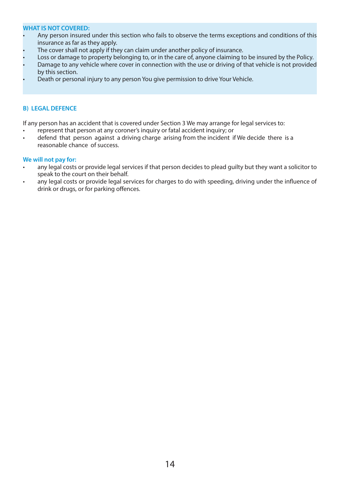#### **WHAT IS NOT COVERED:**

- Any person insured under this section who fails to observe the terms exceptions and conditions of this insurance as far as they apply.
- The cover shall not apply if they can claim under another policy of insurance.
- Loss or damage to property belonging to, or in the care of, anyone claiming to be insured by the Policy.
- Damage to any vehicle where cover in connection with the use or driving of that vehicle is not provided by this section.
- Death or personal injury to any person You give permission to drive Your Vehicle.

#### **B) LEGAL DEFENCE**

If any person has an accident that is covered under Section 3 We may arrange for legal services to:

- represent that person at any coroner's inquiry or fatal accident inquiry; or
- defend that person against a driving charge arising from the incident if We decide there is a reasonable chance of success.

#### **We will not pay for:**

- any legal costs or provide legal services if that person decides to plead guilty but they want a solicitor to speak to the court on their behalf.
- any legal costs or provide legal services for charges to do with speeding, driving under the influence of drink or drugs, or for parking offences.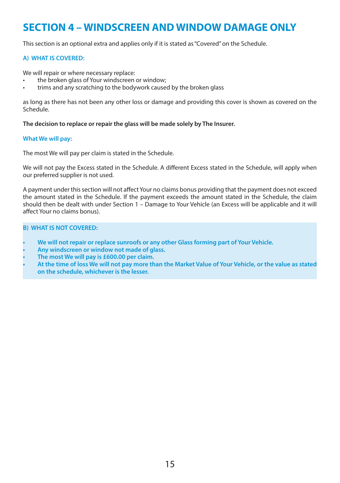# **SECTION 4 – WINDSCREEN AND WINDOW DAMAGE ONLY**

This section is an optional extra and applies only if it is stated as "Covered" on the Schedule.

### **A) WHAT IS COVERED:**

We will repair or where necessary replace:

- the broken glass of Your windscreen or window:
- trims and any scratching to the bodywork caused by the broken glass

as long as there has not been any other loss or damage and providing this cover is shown as covered on the Schedule.

#### **The decision to replace or repair the glass will be made solely by The Insurer.**

#### **What We will pay:**

The most We will pay per claim is stated in the Schedule.

We will not pay the Excess stated in the Schedule. A different Excess stated in the Schedule, will apply when our preferred supplier is not used.

A payment under this section will not affect Your no claims bonus providing that the payment does not exceed the amount stated in the Schedule. If the payment exceeds the amount stated in the Schedule, the claim should then be dealt with under Section 1 – Damage to Your Vehicle (an Excess will be applicable and it will affect Your no claims bonus).

### **B) WHAT IS NOT COVERED:**

- **• We will not repair or replace sunroofs or any other Glass forming part of Your Vehicle.**
- **• Any windscreen or window not made of glass.**
- **• The most We will pay is £600.00 per claim.**
- **• At the time of loss We will not pay more than the Market Value of Your Vehicle, or the value as stated on the schedule, whichever is the lesser.**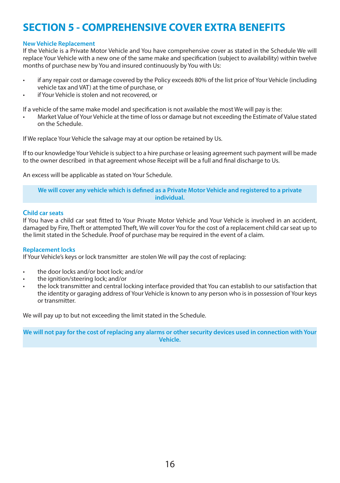# **SECTION 5 - COMPREHENSIVE COVER EXTRA BENEFITS**

#### **New Vehicle Replacement**

If the Vehicle is a Private Motor Vehicle and You have comprehensive cover as stated in the Schedule We will replace Your Vehicle with a new one of the same make and specification (subject to availability) within twelve months of purchase new by You and insured continuously by You with Us:

- if any repair cost or damage covered by the Policy exceeds 80% of the list price of Your Vehicle (including vehicle tax and VAT) at the time of purchase, or
- if Your Vehicle is stolen and not recovered, or

If a vehicle of the same make model and specification is not available the most We will pay is the:

• Market Value of Your Vehicle at the time of loss or damage but not exceeding the Estimate of Value stated on the Schedule.

If We replace Your Vehicle the salvage may at our option be retained by Us.

If to our knowledge Your Vehicle is subject to a hire purchase or leasing agreement such payment will be made to the owner described in that agreement whose Receipt will be a full and final discharge to Us.

An excess will be applicable as stated on Your Schedule.

**We will cover any vehicle which is defined as a Private Motor Vehicle and registered to a private individual.**

#### **Child car seats**

If You have a child car seat fitted to Your Private Motor Vehicle and Your Vehicle is involved in an accident, damaged by Fire, Theft or attempted Theft, We will cover You for the cost of a replacement child car seat up to the limit stated in the Schedule. Proof of purchase may be required in the event of a claim.

#### **Replacement locks**

If Your Vehicle's keys or lock transmitter are stolen We will pay the cost of replacing:

- the door locks and/or boot lock; and/or
- the ignition/steering lock; and/or
- the lock transmitter and central locking interface provided that You can establish to our satisfaction that the identity or garaging address of Your Vehicle is known to any person who is in possession of Your keys or transmitter.

We will pay up to but not exceeding the limit stated in the Schedule.

**We will not pay for the cost of replacing any alarms or other security devices used in connection with Your Vehicle.**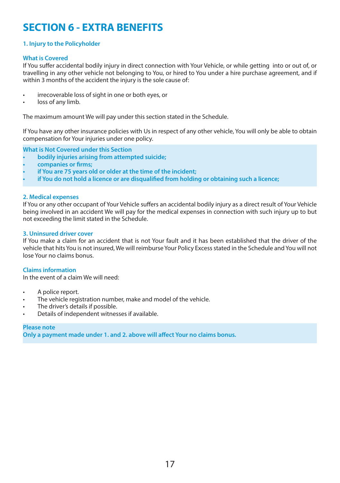# **SECTION 6 - EXTRA BENEFITS**

# **1. Injury to the Policyholder**

#### **What is Covered**

If You suffer accidental bodily injury in direct connection with Your Vehicle, or while getting into or out of, or travelling in any other vehicle not belonging to You, or hired to You under a hire purchase agreement, and if within 3 months of the accident the injury is the sole cause of:

- irrecoverable loss of sight in one or both eyes, or
- loss of any limb.

The maximum amount We will pay under this section stated in the Schedule.

If You have any other insurance policies with Us in respect of any other vehicle, You will only be able to obtain compensation for Your injuries under one policy.

**What is Not Covered under this Section**

- **• bodily injuries arising from attempted suicide;**
- **• companies or firms;**
- **• if You are 75 years old or older at the time of the incident;**
- **• if You do not hold a licence or are disqualified from holding or obtaining such a licence;**

#### **2. Medical expenses**

If You or any other occupant of Your Vehicle suffers an accidental bodily injury as a direct result of Your Vehicle being involved in an accident We will pay for the medical expenses in connection with such injury up to but not exceeding the limit stated in the Schedule.

#### **3. Uninsured driver cover**

If You make a claim for an accident that is not Your fault and it has been established that the driver of the vehicle that hits You is not insured, We will reimburse Your Policy Excess stated in the Schedule and You will not lose Your no claims bonus.

#### **Claims information**

In the event of a claim We will need:

- A police report.
- The vehicle registration number, make and model of the vehicle.
- The driver's details if possible.
- Details of independent witnesses if available.

### **Please note**

**Only a payment made under 1. and 2. above will affect Your no claims bonus.**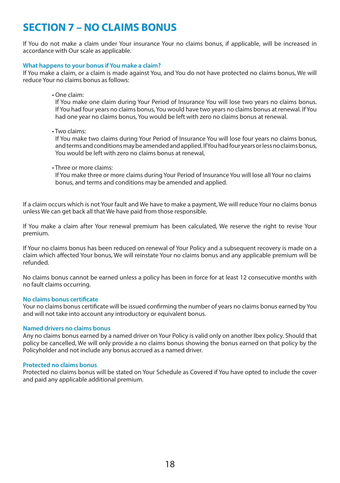# **SECTION 7 – NO CLAIMS BONUS**

If You do not make a claim under Your insurance Your no claims bonus, if applicable, will be increased in accordance with Our scale as applicable.

#### **What happens to your bonus if You make a claim?**

If You make a claim, or a claim is made against You, and You do not have protected no claims bonus, We will reduce Your no claims bonus as follows:

• One claim:

If You make one claim during Your Period of Insurance You will lose two years no claims bonus. If You had four years no claims bonus, You would have two years no claims bonus at renewal. If You had one year no claims bonus, You would be left with zero no claims bonus at renewal.

• Two claims:

If You make two claims during Your Period of Insurance You will lose four years no claims bonus, and terms and conditions may be amended and applied. If You had four years or less no claims bonus, You would be left with zero no claims bonus at renewal,

• Three or more claims:

If You make three or more claims during Your Period of Insurance You will lose all Your no claims bonus, and terms and conditions may be amended and applied.

If a claim occurs which is not Your fault and We have to make a payment, We will reduce Your no claims bonus unless We can get back all that We have paid from those responsible.

If You make a claim after Your renewal premium has been calculated, We reserve the right to revise Your premium.

If Your no claims bonus has been reduced on renewal of Your Policy and a subsequent recovery is made on a claim which affected Your bonus, We will reinstate Your no claims bonus and any applicable premium will be refunded.

No claims bonus cannot be earned unless a policy has been in force for at least 12 consecutive months with no fault claims occurring.

#### **No claims bonus certificate**

Your no claims bonus certificate will be issued confirming the number of years no claims bonus earned by You and will not take into account any introductory or equivalent bonus.

#### **Named drivers no claims bonus**

Any no claims bonus earned by a named driver on Your Policy is valid only on another Ibex policy. Should that policy be cancelled, We will only provide a no claims bonus showing the bonus earned on that policy by the Policyholder and not include any bonus accrued as a named driver.

#### **Protected no claims bonus**

Protected no claims bonus will be stated on Your Schedule as Covered if You have opted to include the cover and paid any applicable additional premium.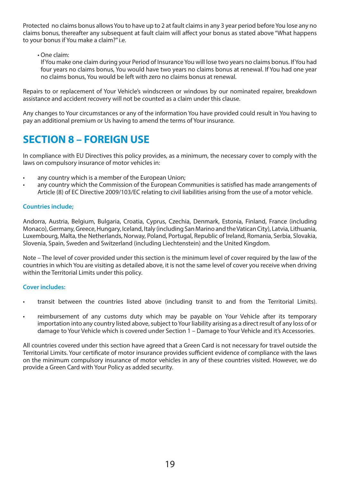Protected no claims bonus allows You to have up to 2 at fault claims in any 3 year period before You lose any no claims bonus, thereafter any subsequent at fault claim will affect your bonus as stated above "What happens to your bonus if You make a claim?" i.e.

# • One claim:

If You make one claim during your Period of Insurance You will lose two years no claims bonus. If You had four years no claims bonus, You would have two years no claims bonus at renewal. If You had one year no claims bonus, You would be left with zero no claims bonus at renewal.

Repairs to or replacement of Your Vehicle's windscreen or windows by our nominated repairer, breakdown assistance and accident recovery will not be counted as a claim under this clause.

Any changes to Your circumstances or any of the information You have provided could result in You having to pay an additional premium or Us having to amend the terms of Your insurance.

# **SECTION 8 – FOREIGN USE**

In compliance with EU Directives this policy provides, as a minimum, the necessary cover to comply with the laws on compulsory insurance of motor vehicles in:

- any country which is a member of the European Union;
- any country which the Commission of the European Communities is satisfied has made arrangements of Article (8) of EC Directive 2009/103/EC relating to civil liabilities arising from the use of a motor vehicle.

# **Countries include;**

Andorra, Austria, Belgium, Bulgaria, Croatia, Cyprus, Czechia, Denmark, Estonia, Finland, France (including Monaco), Germany, Greece, Hungary, Iceland, Italy (including San Marino and the Vatican City), Latvia, Lithuania, Luxembourg, Malta, the Netherlands, Norway, Poland, Portugal, Republic of Ireland, Romania, Serbia, Slovakia, Slovenia, Spain, Sweden and Switzerland (including Liechtenstein) and the United Kingdom.

Note – The level of cover provided under this section is the minimum level of cover required by the law of the countries in which You are visiting as detailed above, it is not the same level of cover you receive when driving within the Territorial Limits under this policy.

#### **Cover includes:**

- transit between the countries listed above (including transit to and from the Territorial Limits).
- reimbursement of any customs duty which may be payable on Your Vehicle after its temporary importation into any country listed above, subject to Your liability arising as a direct result of any loss of or damage to Your Vehicle which is covered under Section 1 – Damage to Your Vehicle and it's Accessories.

All countries covered under this section have agreed that a Green Card is not necessary for travel outside the Territorial Limits. Your certificate of motor insurance provides sufficient evidence of compliance with the laws on the minimum compulsory insurance of motor vehicles in any of these countries visited. However, we do provide a Green Card with Your Policy as added security.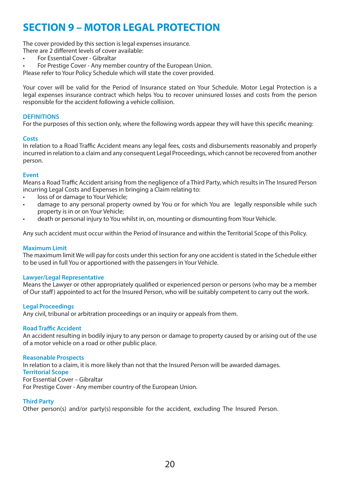# **SECTION 9 – MOTOR LEGAL PROTECTION**

The cover provided by this section is legal expenses insurance.

There are 2 different levels of cover available:

• For Essential Cover - Gibraltar

• For Prestige Cover - Any member country of the European Union.

Please refer to Your Policy Schedule which will state the cover provided.

Your cover will be valid for the Period of Insurance stated on Your Schedule. Motor Legal Protection is a legal expenses insurance contract which helps You to recover uninsured losses and costs from the person responsible for the accident following a vehicle collision.

### **DEFINITIONS**

For the purposes of this section only, where the following words appear they will have this specific meaning:

#### **Costs**

In relation to a Road Traffic Accident means any legal fees, costs and disbursements reasonably and properly incurred in relation to a claim and any consequent Legal Proceedings, which cannot be recovered from another person.

#### **Event**

Means a Road Traffic Accident arising from the negligence of a Third Party, which results in The Insured Person incurring Legal Costs and Expenses in bringing a Claim relating to:

- loss of or damage to Your Vehicle;
- damage to any personal property owned by You or for which You are legally responsible while such property is in or on Your Vehicle;
- death or personal injury to You whilst in, on, mounting or dismounting from Your Vehicle.

Any such accident must occur within the Period of Insurance and within the Territorial Scope of this Policy.

#### **Maximum Limit**

The maximum limit We will pay for costs under this section for any one accident is stated in the Schedule either to be used in full You or apportioned with the passengers in Your Vehicle.

#### **Lawyer/Legal Representative**

Means the Lawyer or other appropriately qualified or experienced person or persons (who may be a member of Our staff) appointed to act for the Insured Person, who will be suitably competent to carry out the work.

#### **Legal Proceedings**

Any civil, tribunal or arbitration proceedings or an inquiry or appeals from them.

#### **Road Traffic Accident**

An accident resulting in bodily injury to any person or damage to property caused by or arising out of the use of a motor vehicle on a road or other public place.

#### **Reasonable Prospects**

In relation to a claim, it is more likely than not that the Insured Person will be awarded damages. **Territorial Scope** For Essential Cover – Gibraltar

For Prestige Cover - Any member country of the European Union.

### **Third Party**

Other person(s) and/or party(s) responsible for the accident, excluding The Insured Person.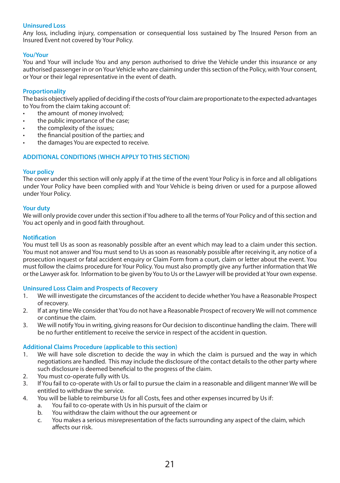### **Uninsured Loss**

Any loss, including injury, compensation or consequential loss sustained by The Insured Person from an Insured Event not covered by Your Policy.

#### **You/Your**

You and Your will include You and any person authorised to drive the Vehicle under this insurance or any authorised passenger in or on Your Vehicle who are claiming under this section of the Policy, with Your consent, or Your or their legal representative in the event of death.

#### **Proportionality**

The basis objectively applied of deciding if the costs of Your claim are proportionate to the expected advantages to You from the claim taking account of:

- the amount of money involved;
- the public importance of the case;
- the complexity of the issues;
- the financial position of the parties; and
- the damages You are expected to receive.

# **ADDITIONAL CONDITIONS (WHICH APPLY TO THIS SECTION)**

#### **Your policy**

The cover under this section will only apply if at the time of the event Your Policy is in force and all obligations under Your Policy have been complied with and Your Vehicle is being driven or used for a purpose allowed under Your Policy.

#### **Your duty**

We will only provide cover under this section if You adhere to all the terms of Your Policy and of this section and You act openly and in good faith throughout.

#### **Notification**

You must tell Us as soon as reasonably possible after an event which may lead to a claim under this section. You must not answer and You must send to Us as soon as reasonably possible after receiving it, any notice of a prosecution inquest or fatal accident enquiry or Claim Form from a court, claim or letter about the event. You must follow the claims procedure for Your Policy. You must also promptly give any further information that We or the Lawyer ask for. Information to be given by You to Us or the Lawyer will be provided at Your own expense.

#### **Uninsured Loss Claim and Prospects of Recovery**

- 1. We will investigate the circumstances of the accident to decide whether You have a Reasonable Prospect of recovery.
- 2. If at any time We consider that You do not have a Reasonable Prospect of recovery We will not commence or continue the claim.
- 3. We will notify You in writing, giving reasons for Our decision to discontinue handling the claim. There will be no further entitlement to receive the service in respect of the accident in question.

#### **Additional Claims Procedure (applicable to this section)**

- 1. We will have sole discretion to decide the way in which the claim is pursued and the way in which negotiations are handled. This may include the disclosure of the contact details to the other party where such disclosure is deemed beneficial to the progress of the claim.
- 2. You must co-operate fully with Us.
- 3. If You fail to co-operate with Us or fail to pursue the claim in a reasonable and diligent manner We will be entitled to withdraw the service.
- 4. You will be liable to reimburse Us for all Costs, fees and other expenses incurred by Us if:
	- a. You fail to co-operate with Us in his pursuit of the claim or
	- b. You withdraw the claim without the our agreement or
	- c. You makes a serious misrepresentation of the facts surrounding any aspect of the claim, which affects our risk.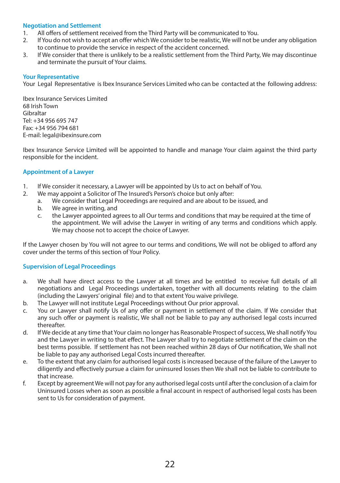### **Negotiation and Settlement**

- 1. All offers of settlement received from the Third Party will be communicated to You.
- 2. If You do not wish to accept an offer which We consider to be realistic, We will not be under any obligation to continue to provide the service in respect of the accident concerned.
- 3. If We consider that there is unlikely to be a realistic settlement from the Third Party, We may discontinue and terminate the pursuit of Your claims.

#### **Your Representative**

Your Legal Representative is Ibex Insurance Services Limited who can be contacted at the following address:

Ibex Insurance Services Limited 68 Irish Town Gibraltar Tel: +34 956 695 747 Fax: +34 956 794 681 E-mail: legal@ibexinsure.com

Ibex Insurance Service Limited will be appointed to handle and manage Your claim against the third party responsible for the incident.

# **Appointment of a Lawyer**

- 1. If We consider it necessary, a Lawyer will be appointed by Us to act on behalf of You.
- 2. We may appoint a Solicitor of The Insured's Person's choice but only after:
	- a. We consider that Legal Proceedings are required and are about to be issued, and
	- b. We agree in writing, and
	- c. the Lawyer appointed agrees to all Our terms and conditions that may be required at the time of the appointment. We will advise the Lawyer in writing of any terms and conditions which apply. We may choose not to accept the choice of Lawyer.

If the Lawyer chosen by You will not agree to our terms and conditions, We will not be obliged to afford any cover under the terms of this section of Your Policy.

# **Supervision of Legal Proceedings**

- a. We shall have direct access to the Lawyer at all times and be entitled to receive full details of all negotiations and Legal Proceedings undertaken, together with all documents relating to the claim (including the Lawyers' original file) and to that extent You waive privilege.
- b. The Lawyer will not institute Legal Proceedings without Our prior approval.
- c. You or Lawyer shall notify Us of any offer or payment in settlement of the claim. If We consider that any such offer or payment is realistic, We shall not be liable to pay any authorised legal costs incurred thereafter.
- d. If We decide at any time that Your claim no longer has Reasonable Prospect of success, We shall notify You and the Lawyer in writing to that effect. The Lawyer shall try to negotiate settlement of the claim on the best terms possible. If settlement has not been reached within 28 days of Our notification, We shall not be liable to pay any authorised Legal Costs incurred thereafter.
- e. To the extent that any claim for authorised legal costs is increased because of the failure of the Lawyer to diligently and effectively pursue a claim for uninsured losses then We shall not be liable to contribute to that increase.
- f. Except by agreement We will not pay for any authorised legal costs until after the conclusion of a claim for Uninsured Losses when as soon as possible a final account in respect of authorised legal costs has been sent to Us for consideration of payment.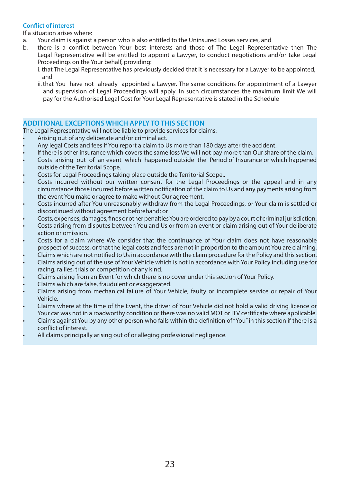# **Conflict of interest**

If a situation arises where:

- a. Your claim is against a person who is also entitled to the Uninsured Losses services, and
- b. there is a conflict between Your best interests and those of The Legal Representative then The Legal Representative will be entitled to appoint a Lawyer, to conduct negotiations and/or take Legal Proceedings on the Your behalf, providing:
	- i. that The Legal Representative has previously decided that it is necessary for a Lawyer to be appointed, and
	- ii. that You have not already appointed a Lawyer. The same conditions for appointment of a Lawyer and supervision of Legal Proceedings will apply. In such circumstances the maximum limit We will pay for the Authorised Legal Cost for Your Legal Representative is stated in the Schedule

# **ADDITIONAL EXCEPTIONS WHICH APPLY TO THIS SECTION**

The Legal Representative will not be liable to provide services for claims:

- Arising out of any deliberate and/or criminal act.
- Any legal Costs and fees if You report a claim to Us more than 180 days after the accident.
- If there is other insurance which covers the same loss We will not pay more than Our share of the claim.
- Costs arising out of an event which happened outside the Period of Insurance or which happened outside of the Territorial Scope.
- Costs for Legal Proceedings taking place outside the Territorial Scope..
- Costs incurred without our written consent for the Legal Proceedings or the appeal and in any circumstance those incurred before written notification of the claim to Us and any payments arising from the event You make or agree to make without Our agreement.
- Costs incurred after You unreasonably withdraw from the Legal Proceedings, or Your claim is settled or discontinued without agreement beforehand; or
- Costs, expenses, damages, fines or other penalties You are ordered to pay by a court of criminal jurisdiction.
- Costs arising from disputes between You and Us or from an event or claim arising out of Your deliberate action or omission.
- Costs for a claim where We consider that the continuance of Your claim does not have reasonable prospect of success, or that the legal costs and fees are not in proportion to the amount You are claiming.
- Claims which are not notified to Us in accordance with the claim procedure for the Policy and this section.
- Claims arising out of the use of Your Vehicle which is not in accordance with Your Policy including use for racing, rallies, trials or competition of any kind.
- Claims arising from an Event for which there is no cover under this section of Your Policy.
- Claims which are false, fraudulent or exaggerated.
- Claims arising from mechanical failure of Your Vehicle, faulty or incomplete service or repair of Your Vehicle.
- Claims where at the time of the Event, the driver of Your Vehicle did not hold a valid driving licence or Your car was not in a roadworthy condition or there was no valid MOT or ITV certificate where applicable.
- Claims against You by any other person who falls within the definition of "You" in this section if there is a conflict of interest.
- All claims principally arising out of or alleging professional negligence.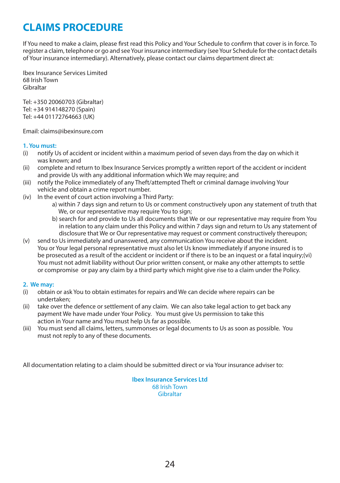# **CLAIMS PROCEDURE**

If You need to make a claim, please first read this Policy and Your Schedule to confirm that cover is in force. To register a claim, telephone or go and see Your insurance intermediary (see Your Schedule for the contact details of Your insurance intermediary). Alternatively, please contact our claims department direct at:

Ibex Insurance Services Limited 68 Irish Town Gibraltar

Tel: +350 20060703 (Gibraltar) Tel: +34 914148270 (Spain) Tel: +44 01172764663 (UK)

Email: claims@ibexinsure.com

# **1. You must:**

- (i) notify Us of accident or incident within a maximum period of seven days from the day on which it was known; and
- (ii) complete and return to Ibex Insurance Services promptly a written report of the accident or incident and provide Us with any additional information which We may require; and
- (iii) notify the Police immediately of any Theft/attempted Theft or criminal damage involving Your vehicle and obtain a crime report number.
- (iv) In the event of court action involving a Third Party:
	- a) within 7 days sign and return to Us or comment constructively upon any statement of truth that We, or our representative may require You to sign;
	- b) search for and provide to Us all documents that We or our representative may require from You in relation to any claim under this Policy and within 7 days sign and return to Us any statement of disclosure that We or Our representative may request or comment constructively thereupon;
- (v) send to Us immediately and unanswered, any communication You receive about the incident. You or Your legal personal representative must also let Us know immediately if anyone insured is to be prosecuted as a result of the accident or incident or if there is to be an inquest or a fatal inquiry;(vi) You must not admit liability without Our prior written consent, or make any other attempts to settle or compromise or pay any claim by a third party which might give rise to a claim under the Policy.

# **2. We may:**

- (i) obtain or ask You to obtain estimates for repairs and We can decide where repairs can be undertaken;
- (ii) take over the defence or settlement of any claim. We can also take legal action to get back any payment We have made under Your Policy. You must give Us permission to take this action in Your name and You must help Us far as possible.
- (iii) You must send all claims, letters, summonses or legal documents to Us as soon as possible. You must not reply to any of these documents.

All documentation relating to a claim should be submitted direct or via Your insurance adviser to:

**Ibex Insurance Services Ltd** 68 Irish Town Gibraltar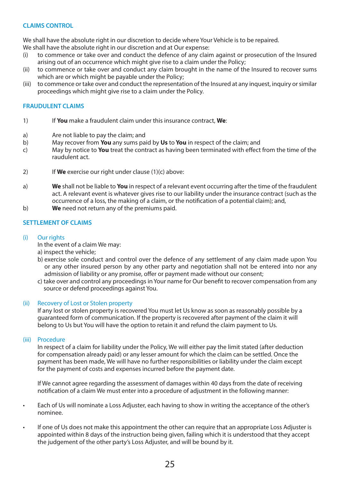# **CLAIMS CONTROL**

We shall have the absolute right in our discretion to decide where Your Vehicle is to be repaired.

We shall have the absolute right in our discretion and at Our expense:

- (i) to commence or take over and conduct the defence of any claim against or prosecution of the Insured arising out of an occurrence which might give rise to a claim under the Policy;
- (ii) to commence or take over and conduct any claim brought in the name of the Insured to recover sums which are or which might be payable under the Policy;
- (iii) to commence or take over and conduct the representation of the Insured at any inquest, inquiry or similar proceedings which might give rise to a claim under the Policy.

# **FRAUDULENT CLAIMS**

- 1) If **You** make a fraudulent claim under this insurance contract, **We**:
- a) Are not liable to pay the claim; and
- b) May recover from **You** any sums paid by **Us** to **You** in respect of the claim; and
- c) May by notice to **You** treat the contract as having been terminated with effect from the time of the raudulent act.
- 2) If **We** exercise our right under clause (1)(c) above:
- a) **We** shall not be liable to **You** in respect of a relevant event occurring after the time of the fraudulent act. A relevant event is whatever gives rise to our liability under the insurance contract (such as the occurrence of a loss, the making of a claim, or the notification of a potential claim); and,
- b) **We** need not return any of the premiums paid.

### **SETTLEMENT OF CLAIMS**

#### (i) Our rights

In the event of a claim We may:

- a) inspect the vehicle;
- b) exercise sole conduct and control over the defence of any settlement of any claim made upon You or any other insured person by any other party and negotiation shall not be entered into nor any admission of liability or any promise, offer or payment made without our consent;
- c) take over and control any proceedings in Your name for Our benefit to recover compensation from any source or defend proceedings against You.

#### (ii) Recovery of Lost or Stolen property

If any lost or stolen property is recovered You must let Us know as soon as reasonably possible by a guaranteed form of communication. If the property is recovered after payment of the claim it will belong to Us but You will have the option to retain it and refund the claim payment to Us.

#### (iii) Procedure

In respect of a claim for liability under the Policy, We will either pay the limit stated (after deduction for compensation already paid) or any lesser amount for which the claim can be settled. Once the payment has been made, We will have no further responsibilities or liability under the claim except for the payment of costs and expenses incurred before the payment date.

If We cannot agree regarding the assessment of damages within 40 days from the date of receiving notification of a claim We must enter into a procedure of adjustment in the following manner:

- Each of Us will nominate a Loss Adjuster, each having to show in writing the acceptance of the other's nominee.
- If one of Us does not make this appointment the other can require that an appropriate Loss Adjuster is appointed within 8 days of the instruction being given, failing which it is understood that they accept the judgement of the other party's Loss Adjuster, and will be bound by it.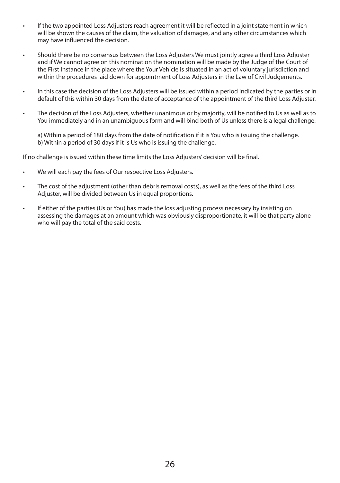- If the two appointed Loss Adjusters reach agreement it will be reflected in a joint statement in which will be shown the causes of the claim, the valuation of damages, and any other circumstances which may have influenced the decision.
- Should there be no consensus between the Loss Adjusters We must jointly agree a third Loss Adjuster and if We cannot agree on this nomination the nomination will be made by the Judge of the Court of the First Instance in the place where the Your Vehicle is situated in an act of voluntary jurisdiction and within the procedures laid down for appointment of Loss Adjusters in the Law of Civil Judgements.
- In this case the decision of the Loss Adjusters will be issued within a period indicated by the parties or in default of this within 30 days from the date of acceptance of the appointment of the third Loss Adjuster.
- The decision of the Loss Adjusters, whether unanimous or by majority, will be notified to Us as well as to You immediately and in an unambiguous form and will bind both of Us unless there is a legal challenge:

a) Within a period of 180 days from the date of notification if it is You who is issuing the challenge. b) Within a period of 30 days if it is Us who is issuing the challenge.

If no challenge is issued within these time limits the Loss Adjusters' decision will be final.

- We will each pay the fees of Our respective Loss Adjusters.
- The cost of the adjustment (other than debris removal costs), as well as the fees of the third Loss Adjuster, will be divided between Us in equal proportions.
- If either of the parties (Us or You) has made the loss adjusting process necessary by insisting on assessing the damages at an amount which was obviously disproportionate, it will be that party alone who will pay the total of the said costs.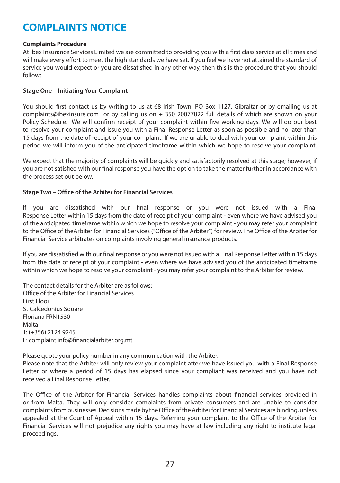# **COMPLAINTS NOTICE**

### **Complaints Procedure**

At Ibex Insurance Services Limited we are committed to providing you with a first class service at all times and will make every effort to meet the high standards we have set. If you feel we have not attained the standard of service you would expect or you are dissatisfied in any other way, then this is the procedure that you should follow:

### **Stage One – Initiating Your Complaint**

You should first contact us by writing to us at 68 Irish Town, PO Box 1127, Gibraltar or by emailing us at complaints@ibexinsure.com or by calling us on + 350 20077822 full details of which are shown on your Policy Schedule. We will confirm receipt of your complaint within five working days. We will do our best to resolve your complaint and issue you with a Final Response Letter as soon as possible and no later than 15 days from the date of receipt of your complaint. If we are unable to deal with your complaint within this period we will inform you of the anticipated timeframe within which we hope to resolve your complaint.

We expect that the majority of complaints will be quickly and satisfactorily resolved at this stage; however, if you are not satisfied with our final response you have the option to take the matter further in accordance with the process set out below.

# **Stage Two – Office of the Arbiter for Financial Services**

If you are dissatisfied with our final response or you were not issued with a Final Response Letter within 15 days from the date of receipt of your complaint - even where we have advised you of the anticipated timeframe within which we hope to resolve your complaint - you may refer your complaint to the Office of theArbiter for Financial Services ("Office of the Arbiter") for review. The Office of the Arbiter for Financial Service arbitrates on complaints involving general insurance products.

If you are dissatisfied with our final response or you were not issued with a Final Response Letter within 15 days from the date of receipt of your complaint - even where we have advised you of the anticipated timeframe within which we hope to resolve your complaint - you may refer your complaint to the Arbiter for review.

The contact details for the Arbiter are as follows: Office of the Arbiter for Financial Services First Floor St Calcedonius Square Floriana FRN1530 Malta T: (+356) 2124 9245 E: complaint.info@financialarbiter.org.mt

Please quote your policy number in any communication with the Arbiter.

Please note that the Arbiter will only review your complaint after we have issued you with a Final Response Letter or where a period of 15 days has elapsed since your compliant was received and you have not received a Final Response Letter.

The Office of the Arbiter for Financial Services handles complaints about financial services provided in or from Malta. They will only consider complaints from private consumers and are unable to consider complaints from businesses. Decisions made by the Office of the Arbiter for Financial Services are binding, unless appealed at the Court of Appeal within 15 days. Referring your complaint to the Office of the Arbiter for Financial Services will not prejudice any rights you may have at law including any right to institute legal proceedings.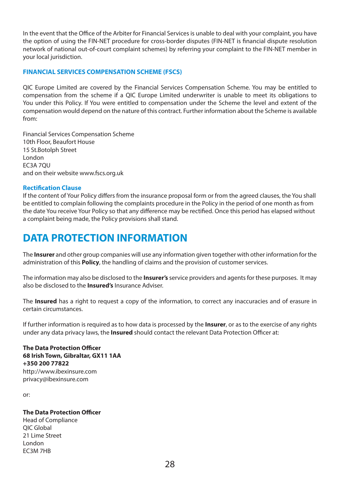In the event that the Office of the Arbiter for Financial Services is unable to deal with your complaint, you have the option of using the FIN-NET procedure for cross-border disputes (FIN-NET is financial dispute resolution network of national out-of-court complaint schemes) by referring your complaint to the FIN-NET member in your local jurisdiction.

# **FINANCIAL SERVICES COMPENSATION SCHEME (FSCS)**

QIC Europe Limited are covered by the Financial Services Compensation Scheme. You may be entitled to compensation from the scheme if a QIC Europe Limited underwriter is unable to meet its obligations to You under this Policy. If You were entitled to compensation under the Scheme the level and extent of the compensation would depend on the nature of this contract. Further information about the Scheme is available from:

Financial Services Compensation Scheme 10th Floor, Beaufort House 15 St.Botolph Street London EC3A 7QU and on their website www.fscs.org.uk

#### **Rectification Clause**

If the content of Your Policy differs from the insurance proposal form or from the agreed clauses, the You shall be entitled to complain following the complaints procedure in the Policy in the period of one month as from the date You receive Your Policy so that any difference may be rectified. Once this period has elapsed without a complaint being made, the Policy provisions shall stand.

# **DATA PROTECTION INFORMATION**

The **Insurer** and other group companies will use any information given together with other information for the administration of this **Policy**, the handling of claims and the provision of customer services.

The information may also be disclosed to the **Insurer's** service providers and agents for these purposes. It may also be disclosed to the **Insured's** Insurance Adviser.

The **Insured** has a right to request a copy of the information, to correct any inaccuracies and of erasure in certain circumstances.

If further information is required as to how data is processed by the **Insurer**, or as to the exercise of any rights under any data privacy laws, the **Insured** should contact the relevant Data Protection Officer at:

**The Data Protection Officer 68 Irish Town, Gibraltar, GX11 1AA +350 200 77822** http://www.ibexinsure.com privacy@ibexinsure.com

or:

# **The Data Protection Officer**

Head of Compliance QIC Global 21 Lime Street London EC3M 7HB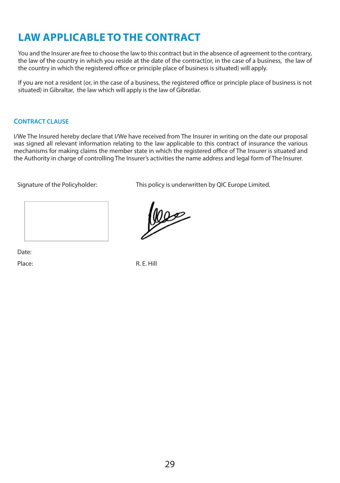# **LAW APPLICABLE TO THE CONTRACT**

You and the Insurer are free to choose the law to this contract but in the absence of agreement to the contrary, the law of the country in which you reside at the date of the contract(or, in the case of a business, the law of the country in which the registered office or principle place of business is situated) will apply.

If you are not a resident (or, in the case of a business, the registered office or principle place of business is not situated) in Gibraltar, the law which will apply is the law of Gibratlar.

# **CONTRACT CLAUSE**

I/We The Insured hereby declare that I/We have received from The Insurer in writing on the date our proposal was signed all relevant information relating to the law applicable to this contract of insurance the various mechanisms for making claims the member state in which the registered office of The Insurer is situated and the Authority in charge of controlling The Insurer's activities the name address and legal form of The Insurer.

less

Signature of the Policyholder: This policy is underwritten by QIC Europe Limited.

Date:

Place: R. F. Hill